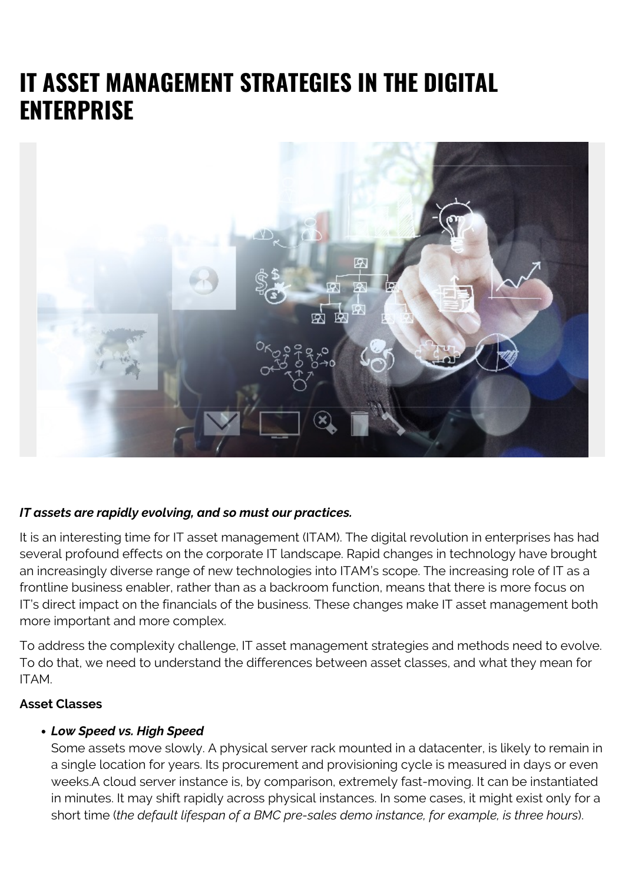# **IT ASSET MANAGEMENT STRATEGIES IN THE DIGITAL ENTERPRISE**



### *IT assets are rapidly evolving, and so must our practices.*

It is an interesting time for IT asset management (ITAM). The digital revolution in enterprises has had several profound effects on the corporate IT landscape. Rapid changes in technology have brought an increasingly diverse range of new technologies into ITAM's scope. The increasing role of IT as a frontline business enabler, rather than as a backroom function, means that there is more focus on IT's direct impact on the financials of the business. These changes make IT asset management both more important and more complex.

To address the complexity challenge, IT asset management strategies and methods need to evolve. To do that, we need to understand the differences between asset classes, and what they mean for ITAM.

#### **Asset Classes**

#### *Low Speed vs. High Speed*

Some assets move slowly. A physical server rack mounted in a datacenter, is likely to remain in a single location for years. Its procurement and provisioning cycle is measured in days or even weeks.A cloud server instance is, by comparison, extremely fast-moving. It can be instantiated in minutes. It may shift rapidly across physical instances. In some cases, it might exist only for a short time (*the default lifespan of a BMC pre-sales demo instance, for example, is three hours*).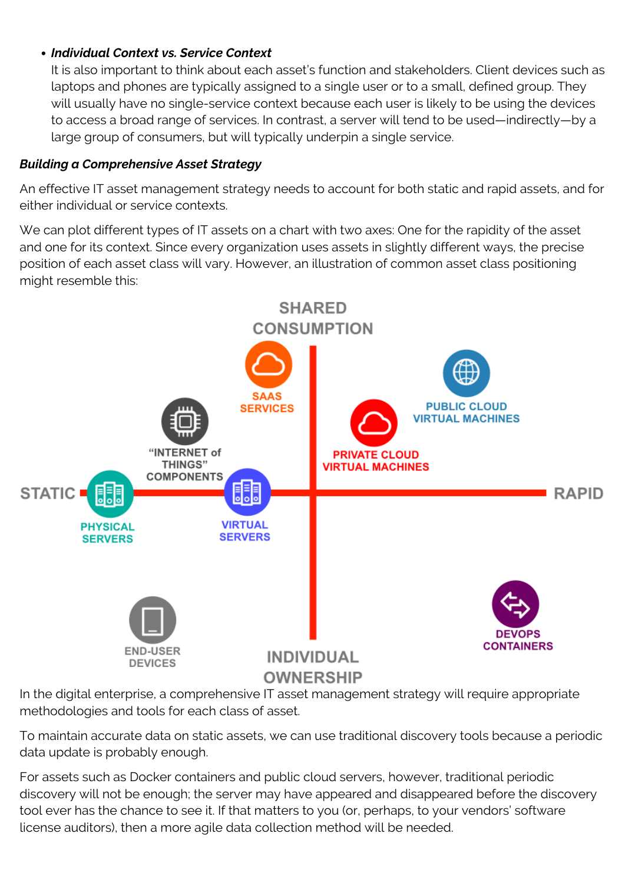# *Individual Context vs. Service Context*

It is also important to think about each asset's function and stakeholders. Client devices such as laptops and phones are typically assigned to a single user or to a small, defined group. They will usually have no single-service context because each user is likely to be using the devices to access a broad range of services. In contrast, a server will tend to be used—indirectly—by a large group of consumers, but will typically underpin a single service.

## *Building a Comprehensive Asset Strategy*

An effective IT asset management strategy needs to account for both static and rapid assets, and for either individual or service contexts.

We can plot different types of IT assets on a chart with two axes: One for the rapidity of the asset and one for its context. Since every organization uses assets in slightly different ways, the precise position of each asset class will vary. However, an illustration of common asset class positioning might resemble this:



In the digital enterprise, a comprehensive IT asset management strategy will require appropriate methodologies and tools for each class of asset.

To maintain accurate data on static assets, we can use traditional discovery tools because a periodic data update is probably enough.

For assets such as Docker containers and public cloud servers, however, traditional periodic discovery will not be enough; the server may have appeared and disappeared before the discovery tool ever has the chance to see it. If that matters to you (or, perhaps, to your vendors' software license auditors), then a more agile data collection method will be needed.